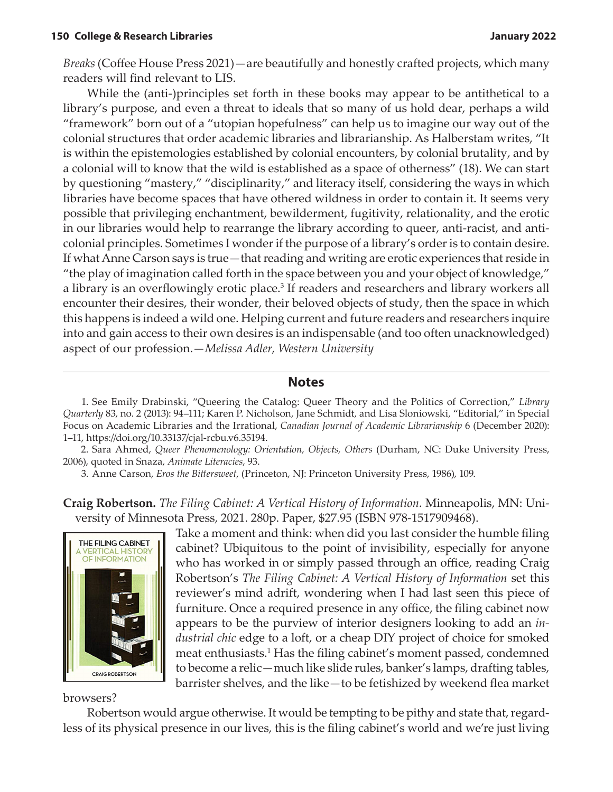*Breaks* (Coffee House Press 2021)—are beautifully and honestly crafted projects, which many readers will find relevant to LIS.

While the (anti-)principles set forth in these books may appear to be antithetical to a library's purpose, and even a threat to ideals that so many of us hold dear, perhaps a wild "framework" born out of a "utopian hopefulness" can help us to imagine our way out of the colonial structures that order academic libraries and librarianship. As Halberstam writes, "It is within the epistemologies established by colonial encounters, by colonial brutality, and by a colonial will to know that the wild is established as a space of otherness" (18). We can start by questioning "mastery," "disciplinarity," and literacy itself, considering the ways in which libraries have become spaces that have othered wildness in order to contain it. It seems very possible that privileging enchantment, bewilderment, fugitivity, relationality, and the erotic in our libraries would help to rearrange the library according to queer, anti-racist, and anticolonial principles. Sometimes I wonder if the purpose of a library's order is to contain desire. If what Anne Carson says is true—that reading and writing are erotic experiences that reside in "the play of imagination called forth in the space between you and your object of knowledge," a library is an overflowingly erotic place.<sup>3</sup> If readers and researchers and library workers all encounter their desires, their wonder, their beloved objects of study, then the space in which this happens is indeed a wild one. Helping current and future readers and researchers inquire into and gain access to their own desires is an indispensable (and too often unacknowledged) aspect of our profession.—*Melissa Adler, Western University*

## **Notes**

 1. See Emily Drabinski, "Queering the Catalog: Queer Theory and the Politics of Correction," *Library Quarterly* 83, no. 2 (2013): 94–111; Karen P. Nicholson, Jane Schmidt, and Lisa Sloniowski, "Editorial," in Special Focus on Academic Libraries and the Irrational, *Canadian Journal of Academic Librarianship* 6 (December 2020): 1–11, https://doi.org/10.33137/cjal-rcbu.v6.35194.

 2. Sara Ahmed, *Queer Phenomenology: Orientation, Objects, Others* (Durham, NC: Duke University Press, 2006), quoted in Snaza, *Animate Literacies*, 93.

3. Anne Carson, *Eros the Bittersweet*, (Princeton, NJ: Princeton University Press, 1986), 109.

**Craig Robertson.** *The Filing Cabinet: A Vertical History of Information.* Minneapolis, MN: University of Minnesota Press, 2021. 280p. Paper, \$27.95 (ISBN 978-1517909468).



Take a moment and think: when did you last consider the humble filing cabinet? Ubiquitous to the point of invisibility, especially for anyone who has worked in or simply passed through an office, reading Craig Robertson's *The Filing Cabinet: A Vertical History of Information* set this reviewer's mind adrift, wondering when I had last seen this piece of furniture. Once a required presence in any office, the filing cabinet now appears to be the purview of interior designers looking to add an *industrial chic* edge to a loft, or a cheap DIY project of choice for smoked meat enthusiasts.<sup>1</sup> Has the filing cabinet's moment passed, condemned to become a relic—much like slide rules, banker's lamps, drafting tables, barrister shelves, and the like—to be fetishized by weekend flea market

browsers?

Robertson would argue otherwise. It would be tempting to be pithy and state that, regardless of its physical presence in our lives, this is the filing cabinet's world and we're just living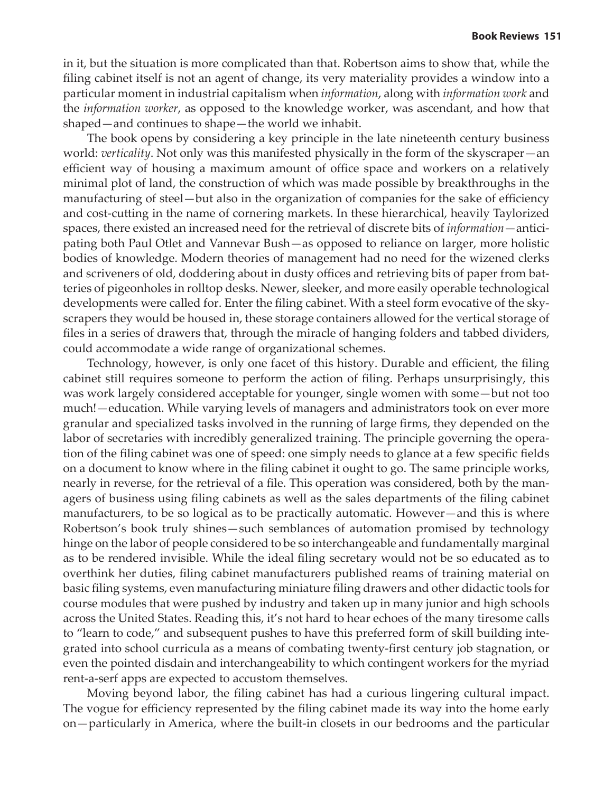in it, but the situation is more complicated than that. Robertson aims to show that, while the filing cabinet itself is not an agent of change, its very materiality provides a window into a particular moment in industrial capitalism when *information*, along with *information work* and the *information worker*, as opposed to the knowledge worker, was ascendant, and how that shaped—and continues to shape—the world we inhabit.

The book opens by considering a key principle in the late nineteenth century business world: *verticality*. Not only was this manifested physically in the form of the skyscraper—an efficient way of housing a maximum amount of office space and workers on a relatively minimal plot of land, the construction of which was made possible by breakthroughs in the manufacturing of steel—but also in the organization of companies for the sake of efficiency and cost-cutting in the name of cornering markets. In these hierarchical, heavily Taylorized spaces, there existed an increased need for the retrieval of discrete bits of *information*—anticipating both Paul Otlet and Vannevar Bush—as opposed to reliance on larger, more holistic bodies of knowledge. Modern theories of management had no need for the wizened clerks and scriveners of old, doddering about in dusty offices and retrieving bits of paper from batteries of pigeonholes in rolltop desks. Newer, sleeker, and more easily operable technological developments were called for. Enter the filing cabinet. With a steel form evocative of the skyscrapers they would be housed in, these storage containers allowed for the vertical storage of files in a series of drawers that, through the miracle of hanging folders and tabbed dividers, could accommodate a wide range of organizational schemes.

Technology, however, is only one facet of this history. Durable and efficient, the filing cabinet still requires someone to perform the action of filing. Perhaps unsurprisingly, this was work largely considered acceptable for younger, single women with some—but not too much!—education. While varying levels of managers and administrators took on ever more granular and specialized tasks involved in the running of large firms, they depended on the labor of secretaries with incredibly generalized training. The principle governing the operation of the filing cabinet was one of speed: one simply needs to glance at a few specific fields on a document to know where in the filing cabinet it ought to go. The same principle works, nearly in reverse, for the retrieval of a file. This operation was considered, both by the managers of business using filing cabinets as well as the sales departments of the filing cabinet manufacturers, to be so logical as to be practically automatic. However—and this is where Robertson's book truly shines—such semblances of automation promised by technology hinge on the labor of people considered to be so interchangeable and fundamentally marginal as to be rendered invisible. While the ideal filing secretary would not be so educated as to overthink her duties, filing cabinet manufacturers published reams of training material on basic filing systems, even manufacturing miniature filing drawers and other didactic tools for course modules that were pushed by industry and taken up in many junior and high schools across the United States. Reading this, it's not hard to hear echoes of the many tiresome calls to "learn to code," and subsequent pushes to have this preferred form of skill building integrated into school curricula as a means of combating twenty-first century job stagnation, or even the pointed disdain and interchangeability to which contingent workers for the myriad rent-a-serf apps are expected to accustom themselves.

Moving beyond labor, the filing cabinet has had a curious lingering cultural impact. The vogue for efficiency represented by the filing cabinet made its way into the home early on—particularly in America, where the built-in closets in our bedrooms and the particular